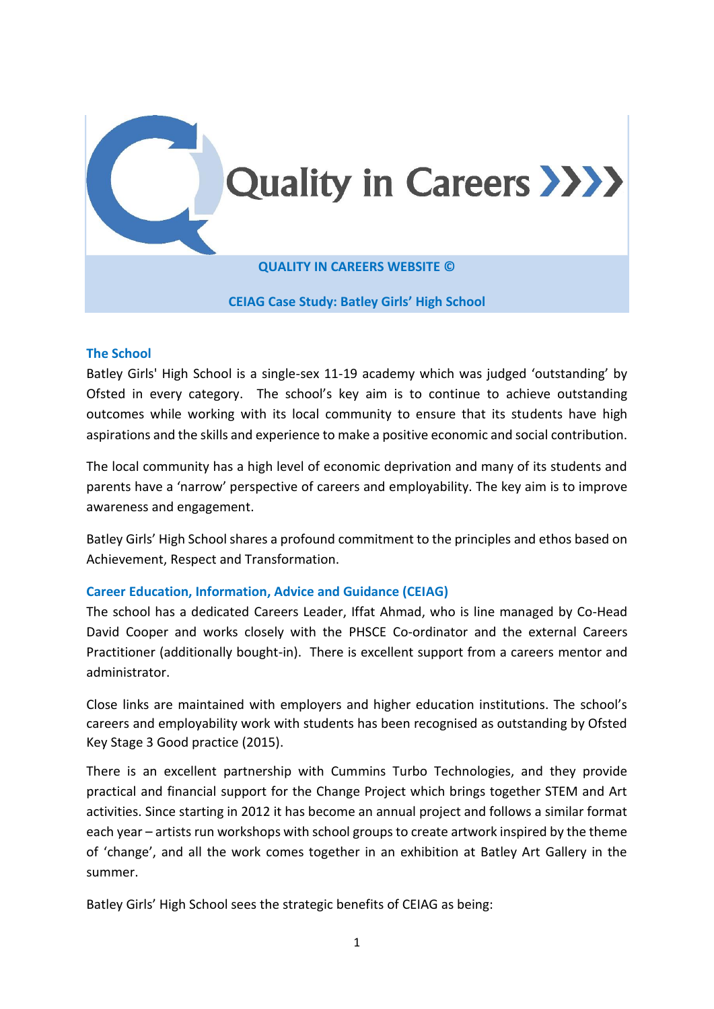

#### **The School**

Batley Girls' High School is a single-sex 11-19 academy which was judged 'outstanding' by Ofsted in every category. The school's key aim is to continue to achieve outstanding outcomes while working with its local community to ensure that its students have high aspirations and the skills and experience to make a positive economic and social contribution.

The local community has a high level of economic deprivation and many of its students and parents have a 'narrow' perspective of careers and employability. The key aim is to improve awareness and engagement.

Batley Girls' High School shares a profound commitment to the principles and ethos based on Achievement, Respect and Transformation.

### **Career Education, Information, Advice and Guidance (CEIAG)**

The school has a dedicated Careers Leader, Iffat Ahmad, who is line managed by Co-Head David Cooper and works closely with the PHSCE Co-ordinator and the external Careers Practitioner (additionally bought-in). There is excellent support from a careers mentor and administrator.

Close links are maintained with employers and higher education institutions. The school's careers and employability work with students has been recognised as outstanding by Ofsted Key Stage 3 Good practice (2015).

There is an excellent partnership with Cummins Turbo Technologies, and they provide practical and financial support for the Change Project which brings together STEM and Art activities. Since starting in 2012 it has become an annual project and follows a similar format each year – artists run workshops with school groups to create artwork inspired by the theme of 'change', and all the work comes together in an exhibition at Batley Art Gallery in the summer.

Batley Girls' High School sees the strategic benefits of CEIAG as being: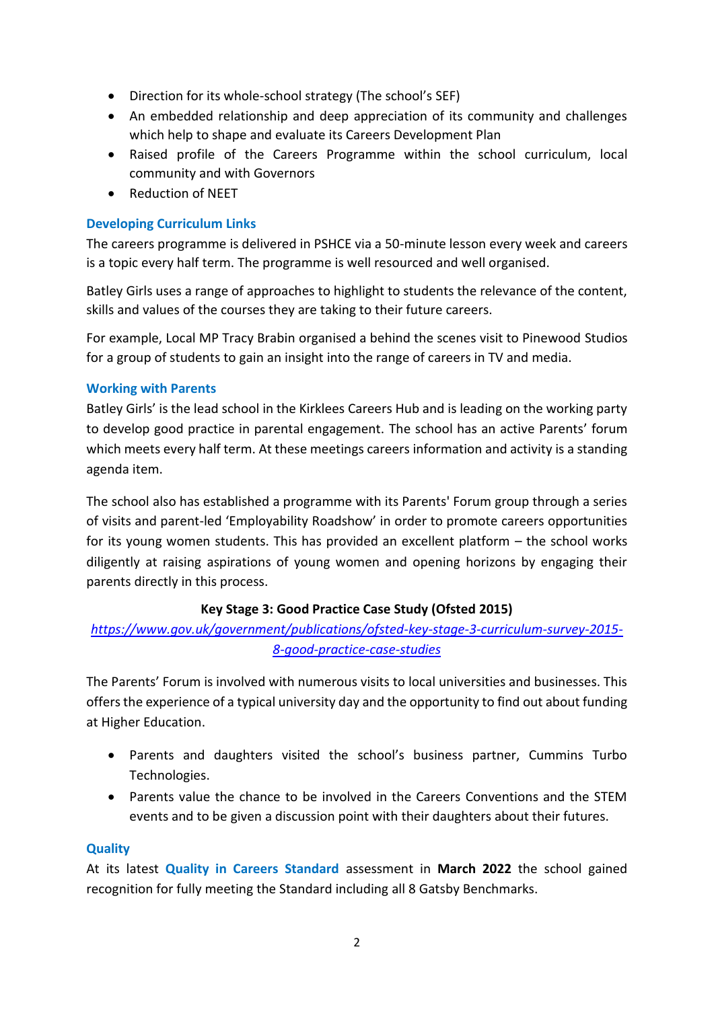- Direction for its whole-school strategy (The school's SEF)
- An embedded relationship and deep appreciation of its community and challenges which help to shape and evaluate its Careers Development Plan
- Raised profile of the Careers Programme within the school curriculum, local community and with Governors
- Reduction of NEET

## **Developing Curriculum Links**

The careers programme is delivered in PSHCE via a 50-minute lesson every week and careers is a topic every half term. The programme is well resourced and well organised.

Batley Girls uses a range of approaches to highlight to students the relevance of the content, skills and values of the courses they are taking to their future careers.

For example, Local MP Tracy Brabin organised a behind the scenes visit to Pinewood Studios for a group of students to gain an insight into the range of careers in TV and media.

### **Working with Parents**

Batley Girls' is the lead school in the Kirklees Careers Hub and is leading on the working party to develop good practice in parental engagement. The school has an active Parents' forum which meets every half term. At these meetings careers information and activity is a standing agenda item.

The school also has established a programme with its Parents' Forum group through a series of visits and parent-led 'Employability Roadshow' in order to promote careers opportunities for its young women students. This has provided an excellent platform – the school works diligently at raising aspirations of young women and opening horizons by engaging their parents directly in this process.

### **Key Stage 3: Good Practice Case Study (Ofsted 2015)**

# *[https://www.gov.uk/government/publications/ofsted-key-stage-3-curriculum-survey-2015-](https://www.gov.uk/government/publications/ofsted-key-stage-3-curriculum-survey-2015-8-good-practice-case-studies) [8-good-practice-case-studies](https://www.gov.uk/government/publications/ofsted-key-stage-3-curriculum-survey-2015-8-good-practice-case-studies)*

The Parents' Forum is involved with numerous visits to local universities and businesses. This offers the experience of a typical university day and the opportunity to find out about funding at Higher Education.

- Parents and daughters visited the school's business partner, Cummins Turbo Technologies.
- Parents value the chance to be involved in the Careers Conventions and the STEM events and to be given a discussion point with their daughters about their futures.

### **Quality**

At its latest **Quality in Careers Standard** assessment in **March 2022** the school gained recognition for fully meeting the Standard including all 8 Gatsby Benchmarks.